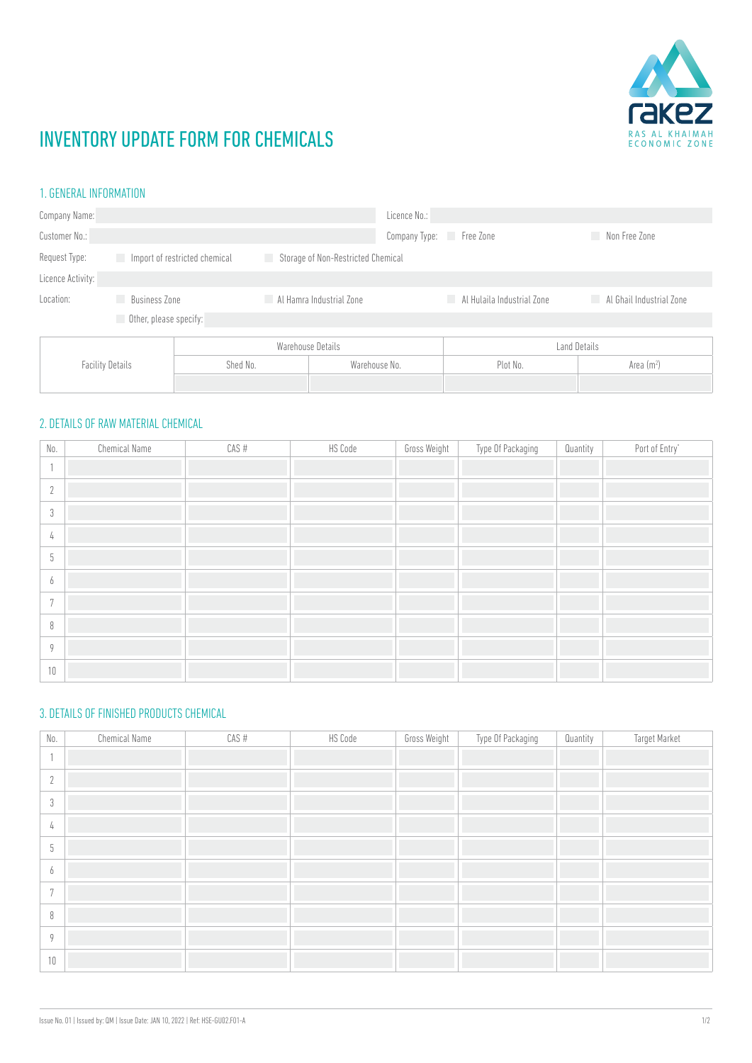

# INVENTORY UPDATE FORM FOR CHEMICALS

### 1. GENERAL INFORMATION

| Company Name:           |               |                                                                           |                          | Licence No.: |                            |                          |  |
|-------------------------|---------------|---------------------------------------------------------------------------|--------------------------|--------------|----------------------------|--------------------------|--|
| Customer No.:           |               |                                                                           | Company Type:            | Free Zone    | Non Free Zone              |                          |  |
| Request Type:           |               | Import of restricted chemical<br>Storage of Non-Restricted Chemical<br>L. |                          |              |                            |                          |  |
| Licence Activity:       |               |                                                                           |                          |              |                            |                          |  |
| Location:               | Business Zone |                                                                           | Al Hamra Industrial Zone |              | Al Hulaila Industrial Zone | Al Ghail Industrial Zone |  |
| Other, please specify:  |               |                                                                           |                          |              |                            |                          |  |
| <b>Facility Details</b> |               | Warehouse Details                                                         |                          | Land Details |                            |                          |  |
|                         |               | Shed No.<br>Warehouse No.                                                 |                          |              | Plot No.                   | Area $(m2)$              |  |
|                         |               |                                                                           |                          |              |                            |                          |  |

### 2. DETAILS OF RAW MATERIAL CHEMICAL

| $\mathbb{N}$ 0 .          | <b>Chemical Name</b> | CAS # | HS Code | Gross Weight | Type Of Packaging | Quantity | Port of Entry* |
|---------------------------|----------------------|-------|---------|--------------|-------------------|----------|----------------|
|                           |                      |       |         |              |                   |          |                |
| $\gamma$<br>$\mathcal{L}$ |                      |       |         |              |                   |          |                |
| $\sqrt{3}$                |                      |       |         |              |                   |          |                |
| 4                         |                      |       |         |              |                   |          |                |
| 5                         |                      |       |         |              |                   |          |                |
| 6                         |                      |       |         |              |                   |          |                |
| 7                         |                      |       |         |              |                   |          |                |
| $\, 8$                    |                      |       |         |              |                   |          |                |
| $\overline{Q}$            |                      |       |         |              |                   |          |                |
| 10                        |                      |       |         |              |                   |          |                |

### 3. DETAILS OF FINISHED PRODUCTS CHEMICAL

| $\mathbb{N}$ 0 .       | <b>Chemical Name</b> | CAS # | HS Code | Gross Weight | Type Of Packaging | Quantity | Target Market |
|------------------------|----------------------|-------|---------|--------------|-------------------|----------|---------------|
|                        |                      |       |         |              |                   |          |               |
| $\gamma$<br>$\sqrt{2}$ |                      |       |         |              |                   |          |               |
| 3                      |                      |       |         |              |                   |          |               |
| 4                      |                      |       |         |              |                   |          |               |
| 5                      |                      |       |         |              |                   |          |               |
| O                      |                      |       |         |              |                   |          |               |
| $\mathbf{r}$           |                      |       |         |              |                   |          |               |
| 8                      |                      |       |         |              |                   |          |               |
| Q                      |                      |       |         |              |                   |          |               |
| 10                     |                      |       |         |              |                   |          |               |